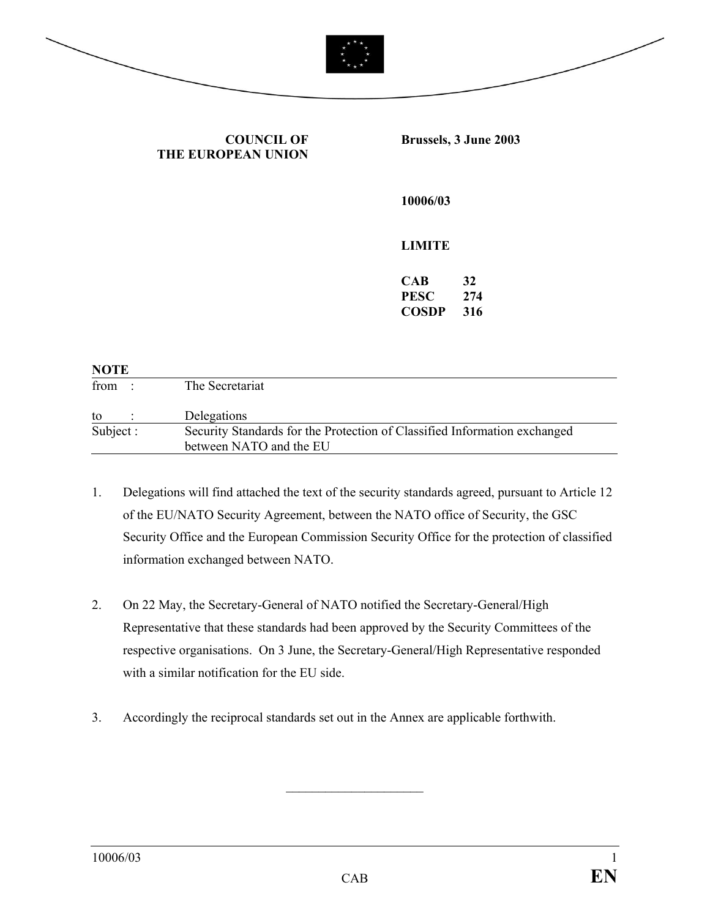

**COUNCIL OF THE EUROPEAN UNION** **Brussels, 3 June 2003** 

**10006/03** 

## **LIMITE**

**CAB 32 PESC 274 COSDP 316** 

| <b>NOTE</b> |                                                                                                      |
|-------------|------------------------------------------------------------------------------------------------------|
| from :      | The Secretariat                                                                                      |
| to          | Delegations                                                                                          |
| Subject:    | Security Standards for the Protection of Classified Information exchanged<br>between NATO and the EU |
|             |                                                                                                      |

- 1. Delegations will find attached the text of the security standards agreed, pursuant to Article 12 of the EU/NATO Security Agreement, between the NATO office of Security, the GSC Security Office and the European Commission Security Office for the protection of classified information exchanged between NATO.
- 2. On 22 May, the Secretary-General of NATO notified the Secretary-General/High Representative that these standards had been approved by the Security Committees of the respective organisations. On 3 June, the Secretary-General/High Representative responded with a similar notification for the EU side.
- 3. Accordingly the reciprocal standards set out in the Annex are applicable forthwith.

 $\mathcal{L}_\text{max}$  , we have the set of the set of the set of the set of the set of the set of the set of the set of the set of the set of the set of the set of the set of the set of the set of the set of the set of the set of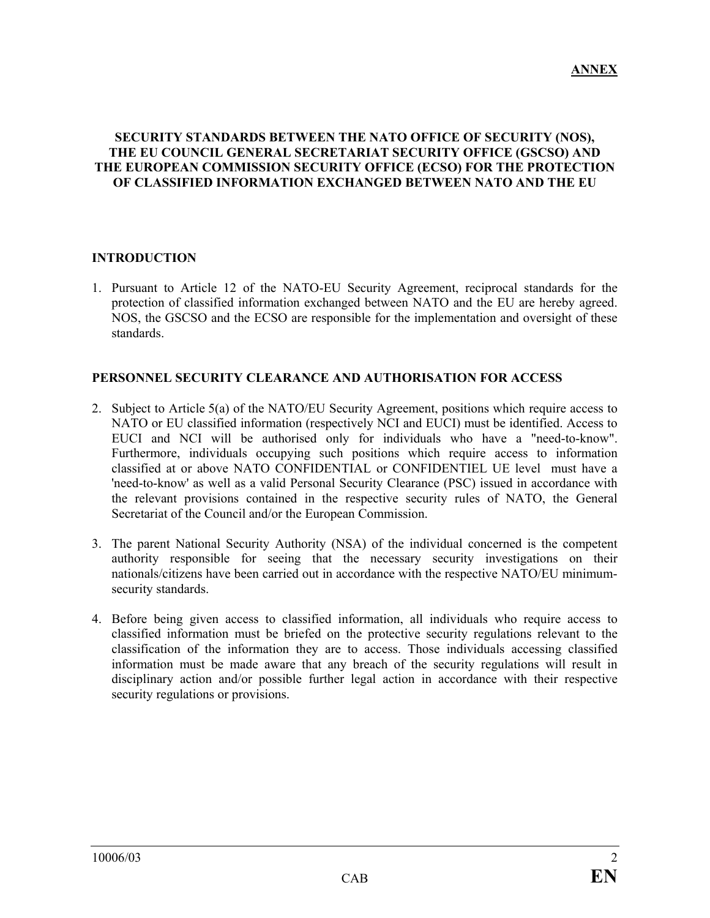#### **SECURITY STANDARDS BETWEEN THE NATO OFFICE OF SECURITY (NOS), THE EU COUNCIL GENERAL SECRETARIAT SECURITY OFFICE (GSCSO) AND THE EUROPEAN COMMISSION SECURITY OFFICE (ECSO) FOR THE PROTECTION OF CLASSIFIED INFORMATION EXCHANGED BETWEEN NATO AND THE EU**

#### **INTRODUCTION**

1. Pursuant to Article 12 of the NATO-EU Security Agreement, reciprocal standards for the protection of classified information exchanged between NATO and the EU are hereby agreed. NOS, the GSCSO and the ECSO are responsible for the implementation and oversight of these standards.

#### **PERSONNEL SECURITY CLEARANCE AND AUTHORISATION FOR ACCESS**

- 2. Subject to Article 5(a) of the NATO/EU Security Agreement, positions which require access to NATO or EU classified information (respectively NCI and EUCI) must be identified. Access to EUCI and NCI will be authorised only for individuals who have a "need-to-know". Furthermore, individuals occupying such positions which require access to information classified at or above NATO CONFIDENTIAL or CONFIDENTIEL UE level must have a 'need-to-know' as well as a valid Personal Security Clearance (PSC) issued in accordance with the relevant provisions contained in the respective security rules of NATO, the General Secretariat of the Council and/or the European Commission.
- 3. The parent National Security Authority (NSA) of the individual concerned is the competent authority responsible for seeing that the necessary security investigations on their nationals/citizens have been carried out in accordance with the respective NATO/EU minimumsecurity standards.
- 4. Before being given access to classified information, all individuals who require access to classified information must be briefed on the protective security regulations relevant to the classification of the information they are to access. Those individuals accessing classified information must be made aware that any breach of the security regulations will result in disciplinary action and/or possible further legal action in accordance with their respective security regulations or provisions.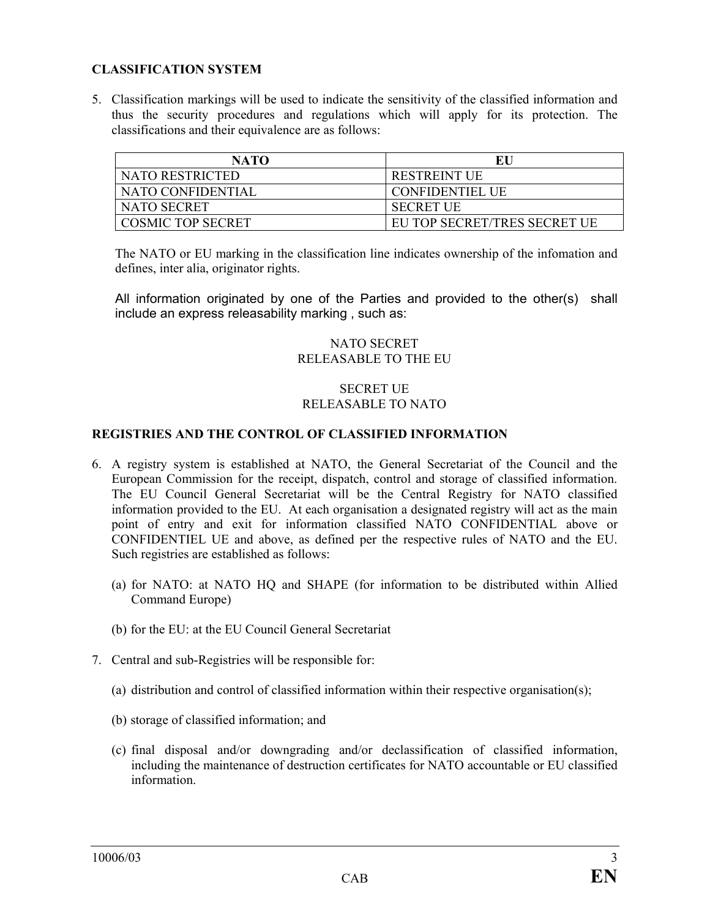## **CLASSIFICATION SYSTEM**

5. Classification markings will be used to indicate the sensitivity of the classified information and thus the security procedures and regulations which will apply for its protection. The classifications and their equivalence are as follows:

| <b>NATO</b>              | EU                           |
|--------------------------|------------------------------|
| NATO RESTRICTED          | <b>RESTREINT UE</b>          |
| NATO CONFIDENTIAL        | <b>CONFIDENTIEL UE</b>       |
| NATO SECRET              | <b>SECRET UE</b>             |
| <b>COSMIC TOP SECRET</b> | EU TOP SECRET/TRES SECRET UE |

The NATO or EU marking in the classification line indicates ownership of the infomation and defines, inter alia, originator rights.

All information originated by one of the Parties and provided to the other(s) shall include an express releasability marking , such as:

#### NATO SECRET RELEASABLE TO THE EU

# SECRET UE RELEASABLE TO NATO

## **REGISTRIES AND THE CONTROL OF CLASSIFIED INFORMATION**

- 6. A registry system is established at NATO, the General Secretariat of the Council and the European Commission for the receipt, dispatch, control and storage of classified information. The EU Council General Secretariat will be the Central Registry for NATO classified information provided to the EU. At each organisation a designated registry will act as the main point of entry and exit for information classified NATO CONFIDENTIAL above or CONFIDENTIEL UE and above, as defined per the respective rules of NATO and the EU. Such registries are established as follows:
	- (a) for NATO: at NATO HQ and SHAPE (for information to be distributed within Allied Command Europe)
	- (b) for the EU: at the EU Council General Secretariat
- 7. Central and sub-Registries will be responsible for:
	- (a) distribution and control of classified information within their respective organisation(s);
	- (b) storage of classified information; and
	- (c) final disposal and/or downgrading and/or declassification of classified information, including the maintenance of destruction certificates for NATO accountable or EU classified information.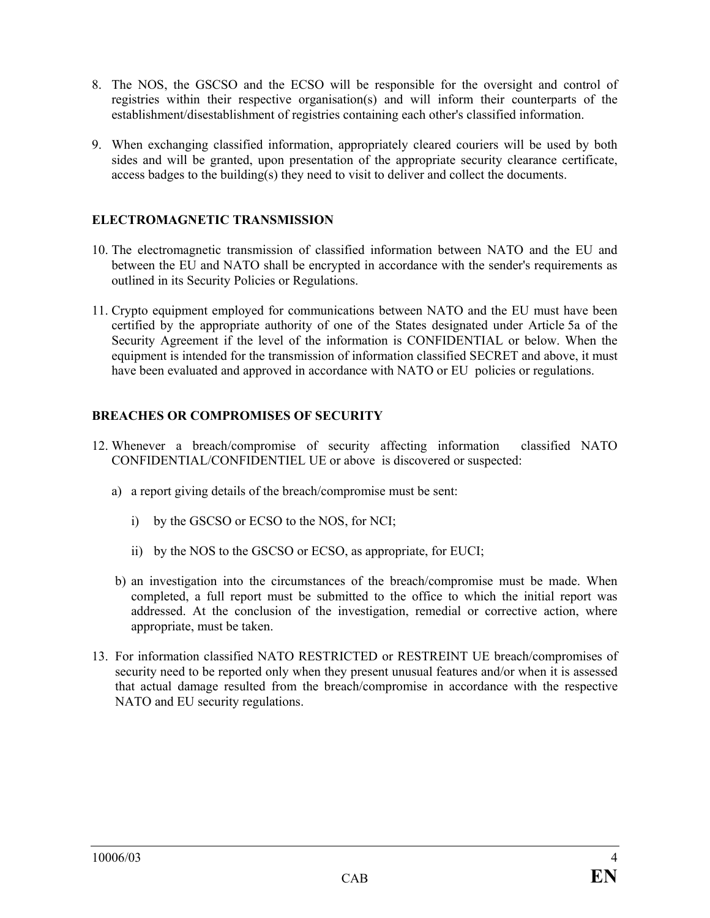- 8. The NOS, the GSCSO and the ECSO will be responsible for the oversight and control of registries within their respective organisation(s) and will inform their counterparts of the establishment/disestablishment of registries containing each other's classified information.
- 9. When exchanging classified information, appropriately cleared couriers will be used by both sides and will be granted, upon presentation of the appropriate security clearance certificate, access badges to the building(s) they need to visit to deliver and collect the documents.

# **ELECTROMAGNETIC TRANSMISSION**

- 10. The electromagnetic transmission of classified information between NATO and the EU and between the EU and NATO shall be encrypted in accordance with the sender's requirements as outlined in its Security Policies or Regulations.
- 11. Crypto equipment employed for communications between NATO and the EU must have been certified by the appropriate authority of one of the States designated under Article 5a of the Security Agreement if the level of the information is CONFIDENTIAL or below. When the equipment is intended for the transmission of information classified SECRET and above, it must have been evaluated and approved in accordance with NATO or EU policies or regulations.

## **BREACHES OR COMPROMISES OF SECURITY**

- 12. Whenever a breach/compromise of security affecting information classified NATO CONFIDENTIAL/CONFIDENTIEL UE or above is discovered or suspected:
	- a) a report giving details of the breach/compromise must be sent:
		- i) by the GSCSO or ECSO to the NOS, for NCI;
		- ii) by the NOS to the GSCSO or ECSO, as appropriate, for EUCI;
	- b) an investigation into the circumstances of the breach/compromise must be made. When completed, a full report must be submitted to the office to which the initial report was addressed. At the conclusion of the investigation, remedial or corrective action, where appropriate, must be taken.
- 13. For information classified NATO RESTRICTED or RESTREINT UE breach/compromises of security need to be reported only when they present unusual features and/or when it is assessed that actual damage resulted from the breach/compromise in accordance with the respective NATO and EU security regulations.